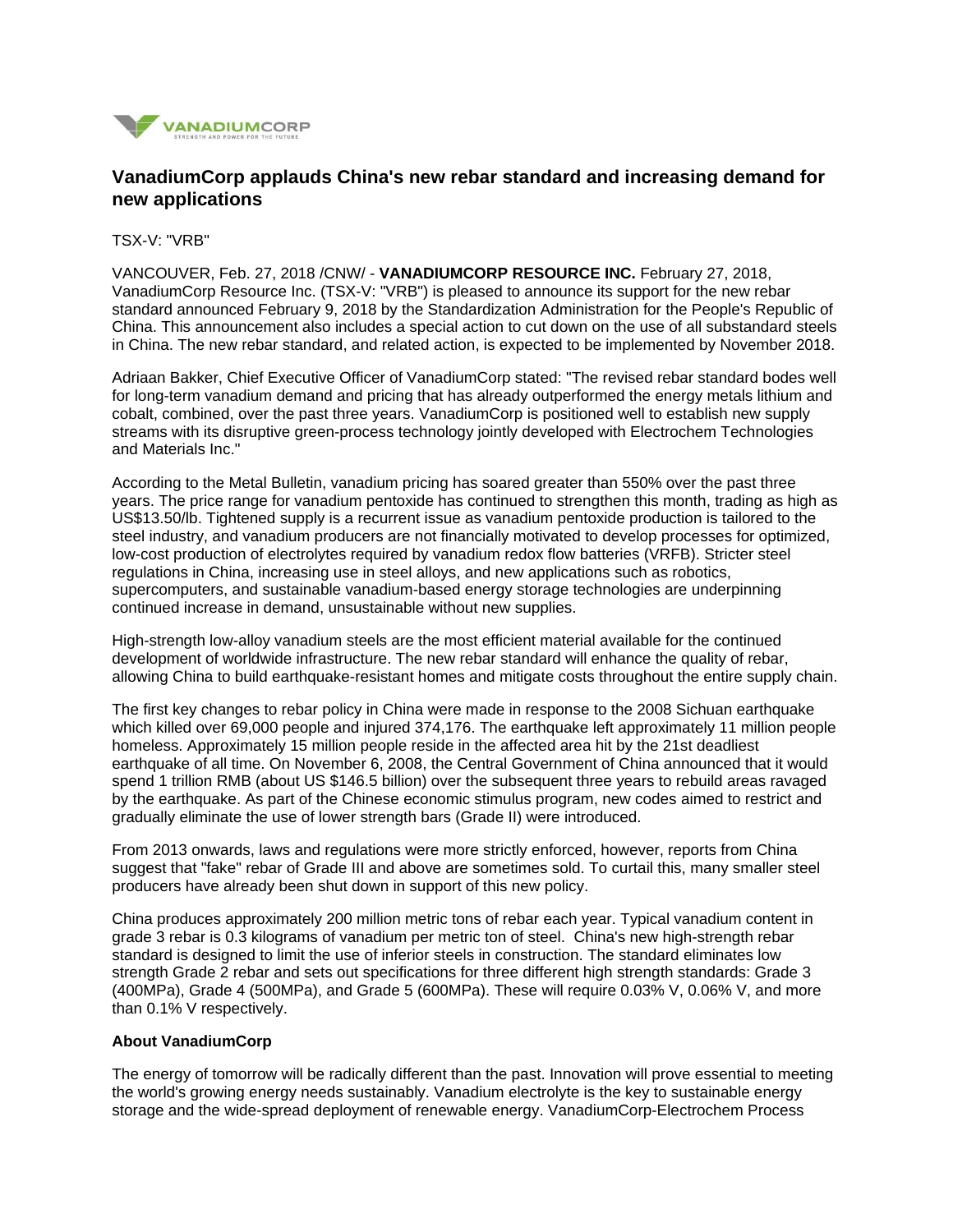

## **VanadiumCorp applauds China's new rebar standard and increasing demand for new applications**

TSX-V: "VRB"

VANCOUVER, Feb. 27, 2018 /CNW/ - **VANADIUMCORP RESOURCE INC.** February 27, 2018, VanadiumCorp Resource Inc. (TSX-V: "VRB") is pleased to announce its support for the new rebar standard announced February 9, 2018 by the Standardization Administration for the People's Republic of China. This announcement also includes a special action to cut down on the use of all substandard steels in China. The new rebar standard, and related action, is expected to be implemented by November 2018.

Adriaan Bakker, Chief Executive Officer of VanadiumCorp stated: "The revised rebar standard bodes well for long-term vanadium demand and pricing that has already outperformed the energy metals lithium and cobalt, combined, over the past three years. VanadiumCorp is positioned well to establish new supply streams with its disruptive green-process technology jointly developed with Electrochem Technologies and Materials Inc."

According to the Metal Bulletin, vanadium pricing has soared greater than 550% over the past three years. The price range for vanadium pentoxide has continued to strengthen this month, trading as high as US\$13.50/lb. Tightened supply is a recurrent issue as vanadium pentoxide production is tailored to the steel industry, and vanadium producers are not financially motivated to develop processes for optimized, low-cost production of electrolytes required by vanadium redox flow batteries (VRFB). Stricter steel regulations in China, increasing use in steel alloys, and new applications such as robotics, supercomputers, and sustainable vanadium-based energy storage technologies are underpinning continued increase in demand, unsustainable without new supplies.

High-strength low-alloy vanadium steels are the most efficient material available for the continued development of worldwide infrastructure. The new rebar standard will enhance the quality of rebar, allowing China to build earthquake-resistant homes and mitigate costs throughout the entire supply chain.

The first key changes to rebar policy in China were made in response to the 2008 Sichuan earthquake which killed over 69,000 people and injured 374,176. The earthquake left approximately 11 million people homeless. Approximately 15 million people reside in the affected area hit by the 21st deadliest earthquake of all time. On November 6, 2008, the Central Government of China announced that it would spend 1 trillion RMB (about US \$146.5 billion) over the subsequent three years to rebuild areas ravaged by the earthquake. As part of the Chinese economic stimulus program, new codes aimed to restrict and gradually eliminate the use of lower strength bars (Grade II) were introduced.

From 2013 onwards, laws and regulations were more strictly enforced, however, reports from China suggest that "fake" rebar of Grade III and above are sometimes sold. To curtail this, many smaller steel producers have already been shut down in support of this new policy.

China produces approximately 200 million metric tons of rebar each year. Typical vanadium content in grade 3 rebar is 0.3 kilograms of vanadium per metric ton of steel. China's new high-strength rebar standard is designed to limit the use of inferior steels in construction. The standard eliminates low strength Grade 2 rebar and sets out specifications for three different high strength standards: Grade 3 (400MPa), Grade 4 (500MPa), and Grade 5 (600MPa). These will require 0.03% V, 0.06% V, and more than 0.1% V respectively.

## **About VanadiumCorp**

The energy of tomorrow will be radically different than the past. Innovation will prove essential to meeting the world's growing energy needs sustainably. Vanadium electrolyte is the key to sustainable energy storage and the wide-spread deployment of renewable energy. VanadiumCorp-Electrochem Process